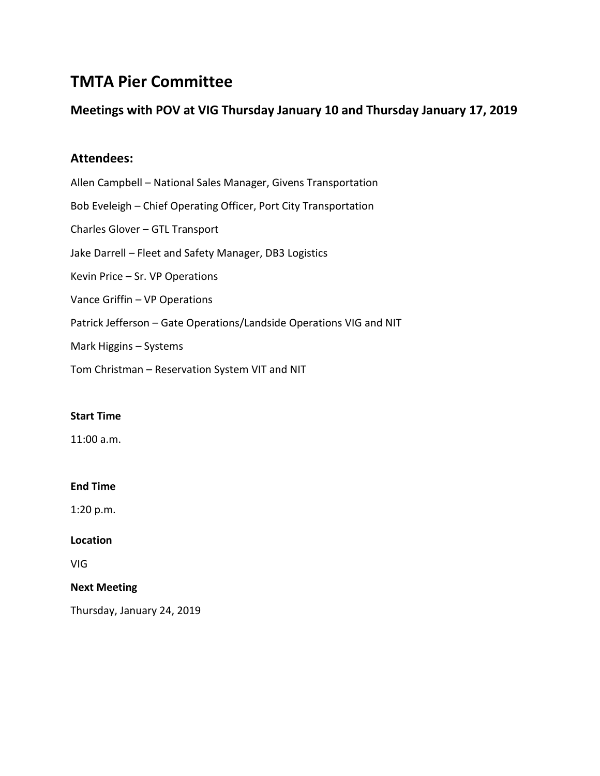# **TMTA Pier Committee**

# **Meetings with POV at VIG Thursday January 10 and Thursday January 17, 2019**

# **Attendees:**

Allen Campbell – National Sales Manager, Givens Transportation Bob Eveleigh – Chief Operating Officer, Port City Transportation Charles Glover – GTL Transport Jake Darrell – Fleet and Safety Manager, DB3 Logistics Kevin Price – Sr. VP Operations Vance Griffin – VP Operations Patrick Jefferson – Gate Operations/Landside Operations VIG and NIT Mark Higgins – Systems

Tom Christman – Reservation System VIT and NIT

## **Start Time**

11:00 a.m.

## **End Time**

1:20 p.m.

## **Location**

VIG

## **Next Meeting**

Thursday, January 24, 2019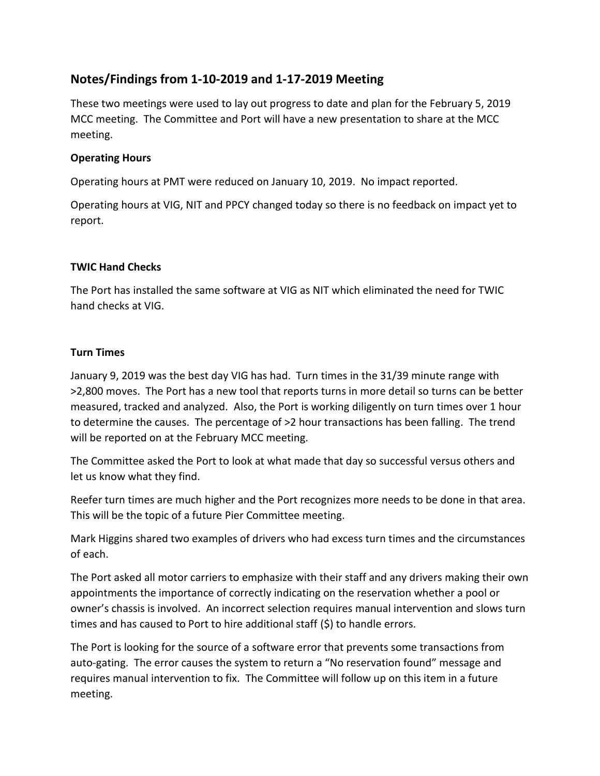# **Notes/Findings from 1-10-2019 and 1-17-2019 Meeting**

These two meetings were used to lay out progress to date and plan for the February 5, 2019 MCC meeting. The Committee and Port will have a new presentation to share at the MCC meeting.

# **Operating Hours**

Operating hours at PMT were reduced on January 10, 2019. No impact reported.

Operating hours at VIG, NIT and PPCY changed today so there is no feedback on impact yet to report.

# **TWIC Hand Checks**

The Port has installed the same software at VIG as NIT which eliminated the need for TWIC hand checks at VIG.

# **Turn Times**

January 9, 2019 was the best day VIG has had. Turn times in the 31/39 minute range with >2,800 moves. The Port has a new tool that reports turns in more detail so turns can be better measured, tracked and analyzed. Also, the Port is working diligently on turn times over 1 hour to determine the causes. The percentage of >2 hour transactions has been falling. The trend will be reported on at the February MCC meeting.

The Committee asked the Port to look at what made that day so successful versus others and let us know what they find.

Reefer turn times are much higher and the Port recognizes more needs to be done in that area. This will be the topic of a future Pier Committee meeting.

Mark Higgins shared two examples of drivers who had excess turn times and the circumstances of each.

The Port asked all motor carriers to emphasize with their staff and any drivers making their own appointments the importance of correctly indicating on the reservation whether a pool or owner's chassis is involved. An incorrect selection requires manual intervention and slows turn times and has caused to Port to hire additional staff (\$) to handle errors.

The Port is looking for the source of a software error that prevents some transactions from auto-gating. The error causes the system to return a "No reservation found" message and requires manual intervention to fix. The Committee will follow up on this item in a future meeting.